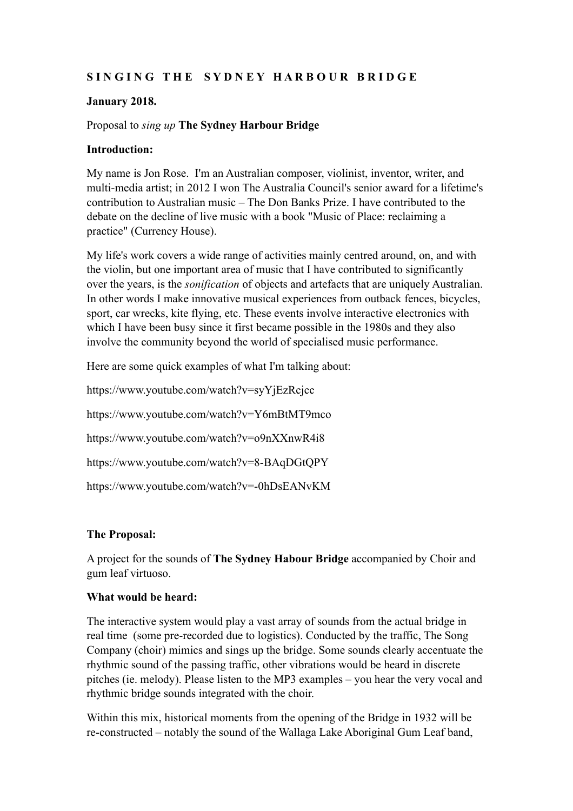# SINGING THE SYDNEY HARBOUR BRIDGE

### **January 2018.**

## Proposal to *sing up* **The Sydney Harbour Bridge**

## **Introduction:**

My name is Jon Rose. I'm an Australian composer, violinist, inventor, writer, and multi-media artist; in 2012 I won The Australia Council's senior award for a lifetime's contribution to Australian music – The Don Banks Prize. I have contributed to the debate on the decline of live music with a book "Music of Place: reclaiming a practice" (Currency House).

My life's work covers a wide range of activities mainly centred around, on, and with the violin, but one important area of music that I have contributed to significantly over the years, is the *sonification* of objects and artefacts that are uniquely Australian. In other words I make innovative musical experiences from outback fences, bicycles, sport, car wrecks, kite flying, etc. These events involve interactive electronics with which I have been busy since it first became possible in the 1980s and they also involve the community beyond the world of specialised music performance.

Here are some quick examples of what I'm talking about:

https://www.youtube.com/watch?v=syYjEzRcjcc https://www.youtube.com/watch?v=Y6mBtMT9mco https://www.youtube.com/watch?v=o9nXXnwR4i8 https://www.youtube.com/watch?v=8-BAqDGtQPY https://www.youtube.com/watch?v=-0hDsEANvKM

#### **The Proposal:**

A project for the sounds of **The Sydney Habour Bridge** accompanied by Choir and gum leaf virtuoso.

#### **What would be heard:**

The interactive system would play a vast array of sounds from the actual bridge in real time (some pre-recorded due to logistics). Conducted by the traffic, The Song Company (choir) mimics and sings up the bridge. Some sounds clearly accentuate the rhythmic sound of the passing traffic, other vibrations would be heard in discrete pitches (ie. melody). Please listen to the MP3 examples – you hear the very vocal and rhythmic bridge sounds integrated with the choir.

Within this mix, historical moments from the opening of the Bridge in 1932 will be re-constructed – notably the sound of the Wallaga Lake Aboriginal Gum Leaf band,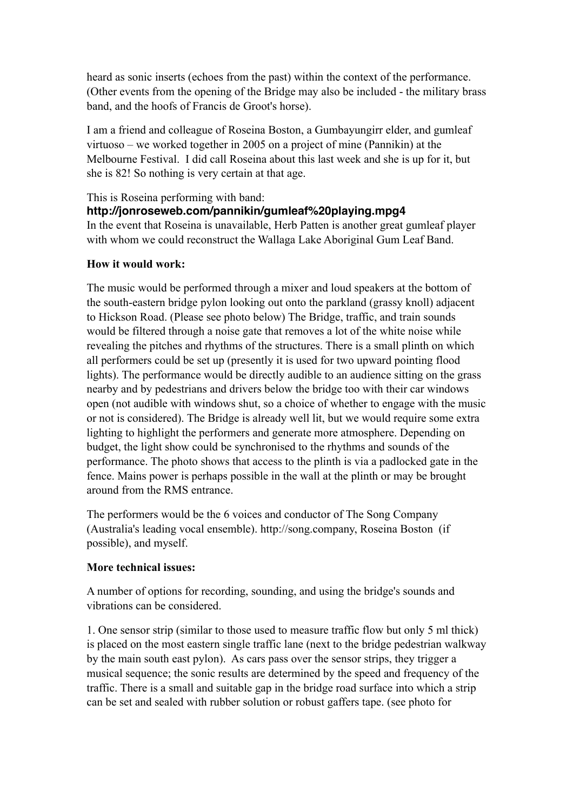heard as sonic inserts (echoes from the past) within the context of the performance. (Other events from the opening of the Bridge may also be included - the military brass band, and the hoofs of Francis de Groot's horse).

I am a friend and colleague of Roseina Boston, a Gumbayungirr elder, and gumleaf virtuoso – we worked together in 2005 on a project of mine (Pannikin) at the Melbourne Festival. I did call Roseina about this last week and she is up for it, but she is 82! So nothing is very certain at that age.

### This is Roseina performing with band:

## **http://jonroseweb.com/pannikin/gumleaf%20playing.mpg4**

In the event that Roseina is unavailable, Herb Patten is another great gumleaf player with whom we could reconstruct the Wallaga Lake Aboriginal Gum Leaf Band.

#### **How it would work:**

The music would be performed through a mixer and loud speakers at the bottom of the south-eastern bridge pylon looking out onto the parkland (grassy knoll) adjacent to Hickson Road. (Please see photo below) The Bridge, traffic, and train sounds would be filtered through a noise gate that removes a lot of the white noise while revealing the pitches and rhythms of the structures. There is a small plinth on which all performers could be set up (presently it is used for two upward pointing flood lights). The performance would be directly audible to an audience sitting on the grass nearby and by pedestrians and drivers below the bridge too with their car windows open (not audible with windows shut, so a choice of whether to engage with the music or not is considered). The Bridge is already well lit, but we would require some extra lighting to highlight the performers and generate more atmosphere. Depending on budget, the light show could be synchronised to the rhythms and sounds of the performance. The photo shows that access to the plinth is via a padlocked gate in the fence. Mains power is perhaps possible in the wall at the plinth or may be brought around from the RMS entrance.

The performers would be the 6 voices and conductor of The Song Company (Australia's leading vocal ensemble). http://song.company, Roseina Boston (if possible), and myself.

#### **More technical issues:**

A number of options for recording, sounding, and using the bridge's sounds and vibrations can be considered.

1. One sensor strip (similar to those used to measure traffic flow but only 5 ml thick) is placed on the most eastern single traffic lane (next to the bridge pedestrian walkway by the main south east pylon). As cars pass over the sensor strips, they trigger a musical sequence; the sonic results are determined by the speed and frequency of the traffic. There is a small and suitable gap in the bridge road surface into which a strip can be set and sealed with rubber solution or robust gaffers tape. (see photo for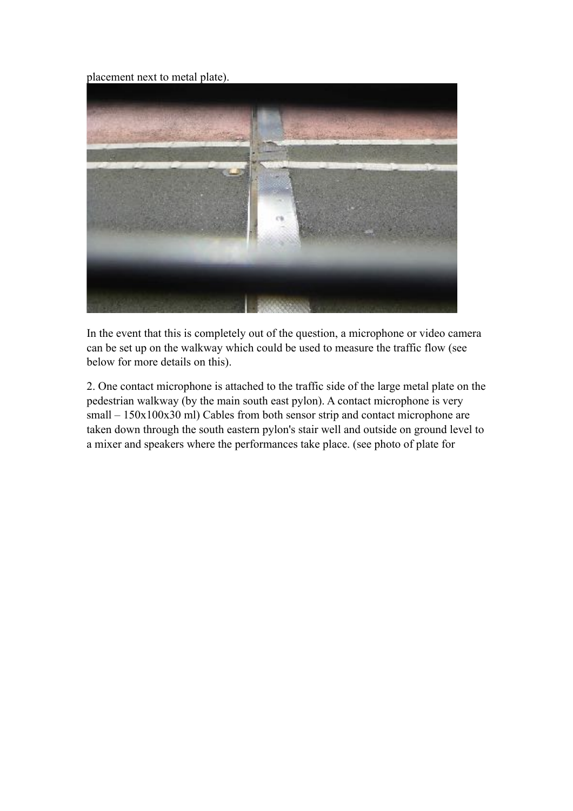placement next to metal plate).



In the event that this is completely out of the question, a microphone or video camera can be set up on the walkway which could be used to measure the traffic flow (see below for more details on this).

2. One contact microphone is attached to the traffic side of the large metal plate on the pedestrian walkway (by the main south east pylon). A contact microphone is very small – 150x100x30 ml) Cables from both sensor strip and contact microphone are taken down through the south eastern pylon's stair well and outside on ground level to a mixer and speakers where the performances take place. (see photo of plate for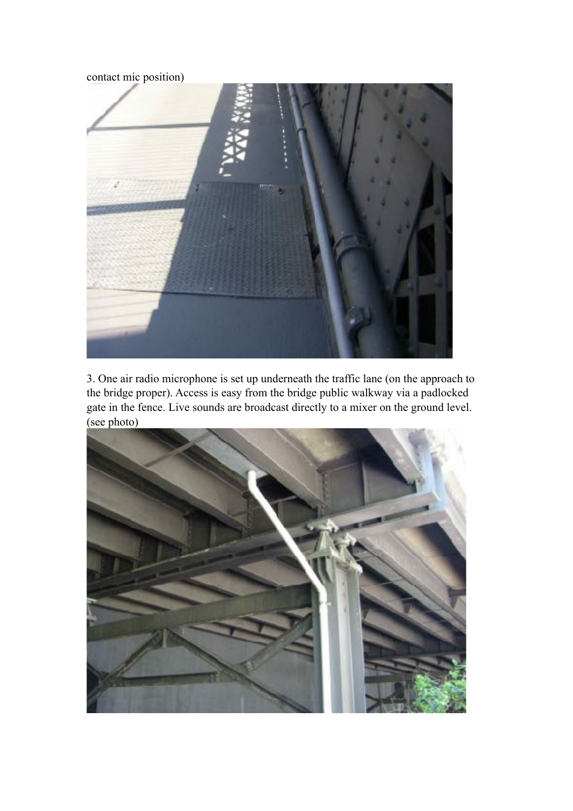contact mic position)



3. One air radio microphone is set up underneath the traffic lane (on the approach to the bridge proper). Access is easy from the bridge public walkway via a padlocked gate in the fence. Live sounds are broadcast directly to a mixer on the ground level. (see photo)

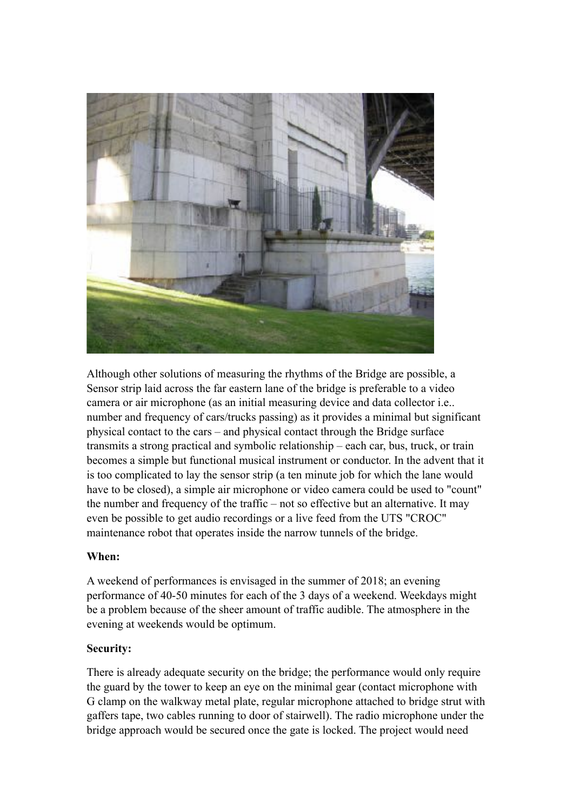

Although other solutions of measuring the rhythms of the Bridge are possible, a Sensor strip laid across the far eastern lane of the bridge is preferable to a video camera or air microphone (as an initial measuring device and data collector i.e.. number and frequency of cars/trucks passing) as it provides a minimal but significant physical contact to the cars – and physical contact through the Bridge surface transmits a strong practical and symbolic relationship – each car, bus, truck, or train becomes a simple but functional musical instrument or conductor. In the advent that it is too complicated to lay the sensor strip (a ten minute job for which the lane would have to be closed), a simple air microphone or video camera could be used to "count" the number and frequency of the traffic – not so effective but an alternative. It may even be possible to get audio recordings or a live feed from the UTS "CROC" maintenance robot that operates inside the narrow tunnels of the bridge.

# **When:**

A weekend of performances is envisaged in the summer of 2018; an evening performance of 40-50 minutes for each of the 3 days of a weekend. Weekdays might be a problem because of the sheer amount of traffic audible. The atmosphere in the evening at weekends would be optimum.

# **Security:**

There is already adequate security on the bridge; the performance would only require the guard by the tower to keep an eye on the minimal gear (contact microphone with G clamp on the walkway metal plate, regular microphone attached to bridge strut with gaffers tape, two cables running to door of stairwell). The radio microphone under the bridge approach would be secured once the gate is locked. The project would need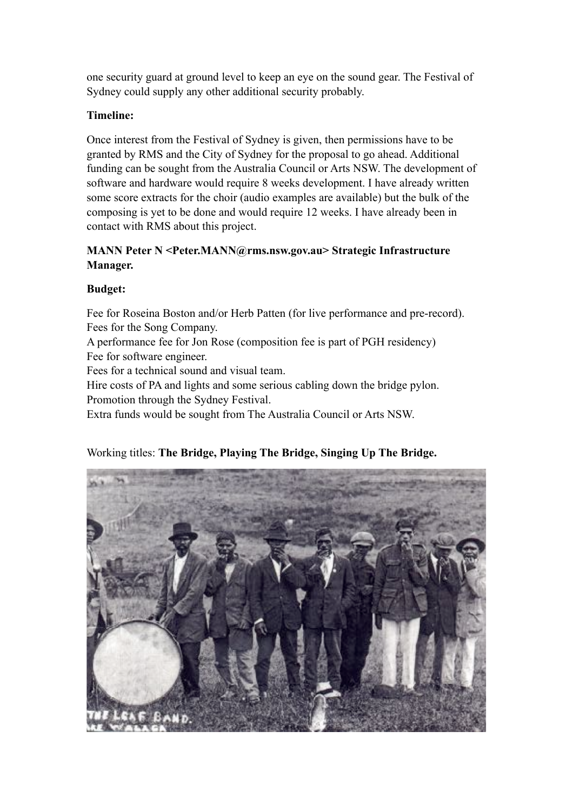one security guard at ground level to keep an eye on the sound gear. The Festival of Sydney could supply any other additional security probably.

#### **Timeline:**

Once interest from the Festival of Sydney is given, then permissions have to be granted by RMS and the City of Sydney for the proposal to go ahead. Additional funding can be sought from the Australia Council or Arts NSW. The development of software and hardware would require 8 weeks development. I have already written some score extracts for the choir (audio examples are available) but the bulk of the composing is yet to be done and would require 12 weeks. I have already been in contact with RMS about this project.

## **MANN Peter N <Peter.MANN@rms.nsw.gov.au> Strategic Infrastructure Manager.**

#### **Budget:**

Fee for Roseina Boston and/or Herb Patten (for live performance and pre-record). Fees for the Song Company.

A performance fee for Jon Rose (composition fee is part of PGH residency) Fee for software engineer.

Fees for a technical sound and visual team.

Hire costs of PA and lights and some serious cabling down the bridge pylon. Promotion through the Sydney Festival.

Extra funds would be sought from The Australia Council or Arts NSW.

#### Working titles: **The Bridge, Playing The Bridge, Singing Up The Bridge.**